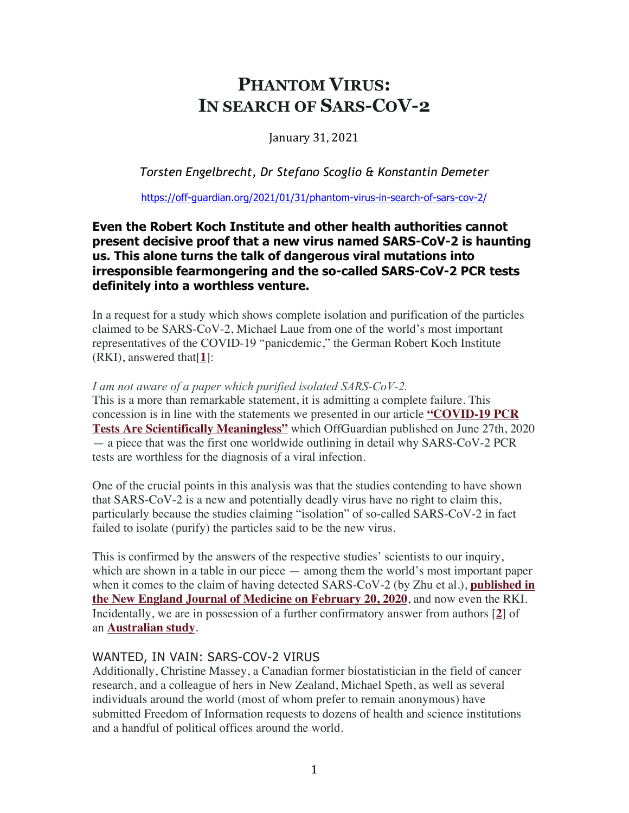# **PHANTOM VIRUS: IN SEARCH OF SARS-COV-2**

January 31, 2021

*Torsten Engelbrecht, Dr Stefano Scoglio & Konstantin Demeter*

https://off-guardian.org/2021/01/31/phantom-virus-in-search-of-sars-cov-2/

# **Even the Robert Koch Institute and other health authorities cannot present decisive proof that a new virus named SARS-CoV-2 is haunting us. This alone turns the talk of dangerous viral mutations into irresponsible fearmongering and the so-called SARS-CoV-2 PCR tests definitely into a worthless venture.**

In a request for a study which shows complete isolation and purification of the particles claimed to be SARS-CoV-2, Michael Laue from one of the world's most important representatives of the COVID-19 "panicdemic," the German Robert Koch Institute (RKI), answered that[**1**]:

#### *I am not aware of a paper which purified isolated SARS-CoV-2.*

This is a more than remarkable statement, it is admitting a complete failure. This concession is in line with the statements we presented in our article **"COVID-19 PCR Tests Are Scientifically Meaningless"** which OffGuardian published on June 27th, 2020 — a piece that was the first one worldwide outlining in detail why SARS-CoV-2 PCR tests are worthless for the diagnosis of a viral infection.

One of the crucial points in this analysis was that the studies contending to have shown that SARS-CoV-2 is a new and potentially deadly virus have no right to claim this, particularly because the studies claiming "isolation" of so-called SARS-CoV-2 in fact failed to isolate (purify) the particles said to be the new virus.

This is confirmed by the answers of the respective studies' scientists to our inquiry, which are shown in a table in our piece — among them the world's most important paper when it comes to the claim of having detected SARS-CoV-2 (by Zhu et al.), **published in the New England Journal of Medicine on February 20, 2020**, and now even the RKI. Incidentally, we are in possession of a further confirmatory answer from authors [**2**] of an **Australian study**.

### WANTED, IN VAIN: SARS-COV-2 VIRUS

Additionally, Christine Massey, a Canadian former biostatistician in the field of cancer research, and a colleague of hers in New Zealand, Michael Speth, as well as several individuals around the world (most of whom prefer to remain anonymous) have submitted Freedom of Information requests to dozens of health and science institutions and a handful of political offices around the world.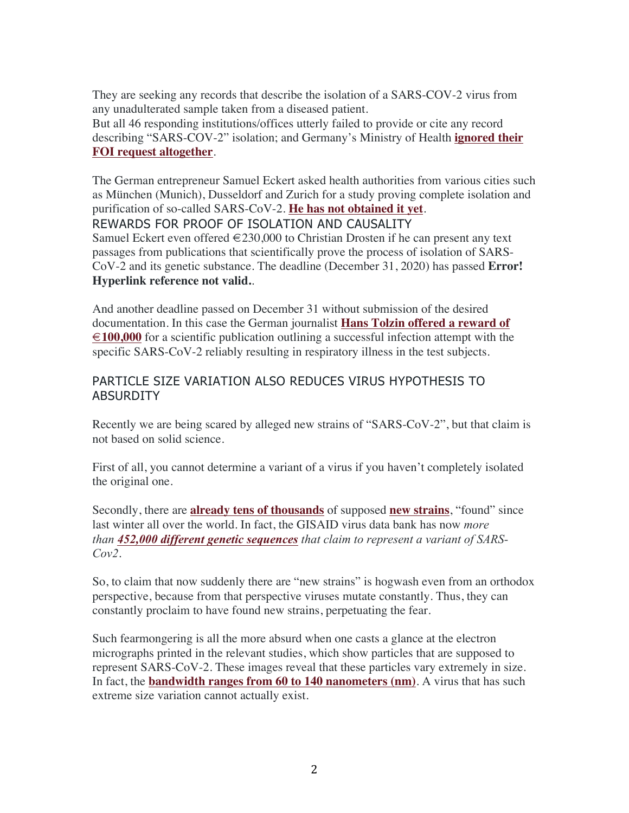They are seeking any records that describe the isolation of a SARS-COV-2 virus from any unadulterated sample taken from a diseased patient.

But all 46 responding institutions/offices utterly failed to provide or cite any record describing "SARS-COV-2" isolation; and Germany's Ministry of Health **ignored their FOI request altogether**.

The German entrepreneur Samuel Eckert asked health authorities from various cities such as München (Munich), Dusseldorf and Zurich for a study proving complete isolation and purification of so-called SARS-CoV-2. **He has not obtained it yet**.

REWARDS FOR PROOF OF ISOLATION AND CAUSALITY

Samuel Eckert even offered €230,000 to Christian Drosten if he can present any text passages from publications that scientifically prove the process of isolation of SARS-CoV-2 and its genetic substance. The deadline (December 31, 2020) has passed **Error! Hyperlink reference not valid.**.

And another deadline passed on December 31 without submission of the desired documentation. In this case the German journalist **Hans Tolzin offered a reward of €100,000** for a scientific publication outlining a successful infection attempt with the specific SARS-CoV-2 reliably resulting in respiratory illness in the test subjects.

# PARTICLE SIZE VARIATION ALSO REDUCES VIRUS HYPOTHESIS TO **ABSURDITY**

Recently we are being scared by alleged new strains of "SARS-CoV-2", but that claim is not based on solid science.

First of all, you cannot determine a variant of a virus if you haven't completely isolated the original one.

Secondly, there are **already tens of thousands** of supposed **new strains**, "found" since last winter all over the world. In fact, the GISAID virus data bank has now *more than 452,000 different genetic sequences that claim to represent a variant of SARS-Cov2*.

So, to claim that now suddenly there are "new strains" is hogwash even from an orthodox perspective, because from that perspective viruses mutate constantly. Thus, they can constantly proclaim to have found new strains, perpetuating the fear.

Such fearmongering is all the more absurd when one casts a glance at the electron micrographs printed in the relevant studies, which show particles that are supposed to represent SARS-CoV-2. These images reveal that these particles vary extremely in size. In fact, the **bandwidth ranges from 60 to 140 nanometers (nm)**. A virus that has such extreme size variation cannot actually exist.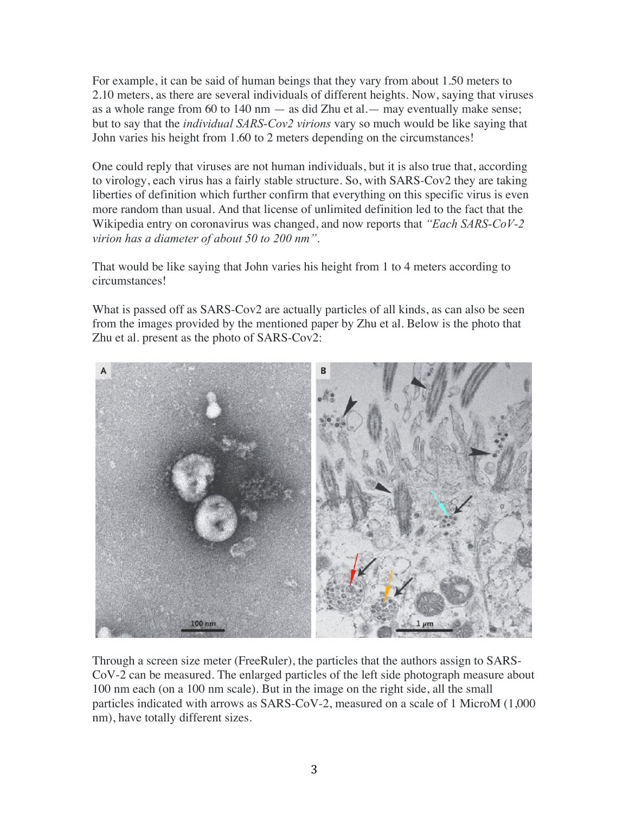For example, it can be said of human beings that they vary from about 1.50 meters to 2.10 meters, as there are several individuals of different heights. Now, saying that viruses as a whole range from 60 to 140 nm — as did Zhu et al.— may eventually make sense; but to say that the *individual SARS-Cov2 virions* vary so much would be like saying that John varies his height from 1.60 to 2 meters depending on the circumstances!

One could reply that viruses are not human individuals, but it is also true that, according to virology, each virus has a fairly stable structure. So, with SARS-Cov2 they are taking liberties of definition which further confirm that everything on this specific virus is even more random than usual. And that license of unlimited definition led to the fact that the Wikipedia entry on coronavirus was changed, and now reports that *"Each SARS-CoV-2 virion has a diameter of about 50 to 200 nm"*.

That would be like saying that John varies his height from 1 to 4 meters according to circumstances!

What is passed off as SARS-Cov2 are actually particles of all kinds, as can also be seen from the images provided by the mentioned paper by Zhu et al. Below is the photo that Zhu et al. present as the photo of SARS-Cov2:



Through a screen size meter (FreeRuler), the particles that the authors assign to SARS-CoV-2 can be measured. The enlarged particles of the left side photograph measure about 100 nm each (on a 100 nm scale). But in the image on the right side, all the small particles indicated with arrows as SARS-CoV-2, measured on a scale of 1 MicroM (1,000 nm), have totally different sizes.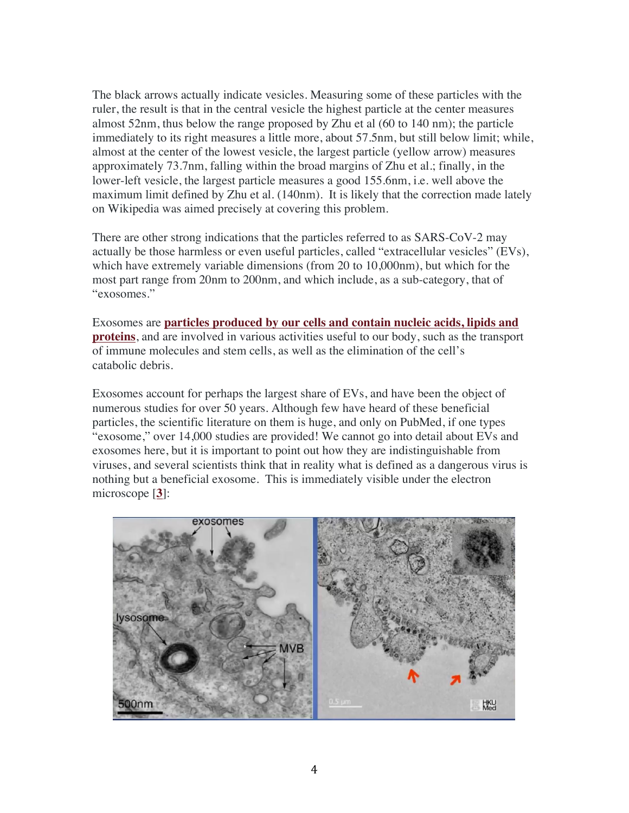The black arrows actually indicate vesicles. Measuring some of these particles with the ruler, the result is that in the central vesicle the highest particle at the center measures almost 52nm, thus below the range proposed by Zhu et al (60 to 140 nm); the particle immediately to its right measures a little more, about 57.5nm, but still below limit; while, almost at the center of the lowest vesicle, the largest particle (yellow arrow) measures approximately 73.7nm, falling within the broad margins of Zhu et al.; finally, in the lower-left vesicle, the largest particle measures a good 155.6nm, i.e. well above the maximum limit defined by Zhu et al. (140nm). It is likely that the correction made lately on Wikipedia was aimed precisely at covering this problem.

There are other strong indications that the particles referred to as SARS-CoV-2 may actually be those harmless or even useful particles, called "extracellular vesicles" (EVs), which have extremely variable dimensions (from 20 to 10,000nm), but which for the most part range from 20nm to 200nm, and which include, as a sub-category, that of "exosomes."

Exosomes are **particles produced by our cells and contain nucleic acids, lipids and proteins**, and are involved in various activities useful to our body, such as the transport of immune molecules and stem cells, as well as the elimination of the cell's catabolic debris.

Exosomes account for perhaps the largest share of EVs, and have been the object of numerous studies for over 50 years. Although few have heard of these beneficial particles, the scientific literature on them is huge, and only on PubMed, if one types "exosome," over 14,000 studies are provided! We cannot go into detail about EVs and exosomes here, but it is important to point out how they are indistinguishable from viruses, and several scientists think that in reality what is defined as a dangerous virus is nothing but a beneficial exosome. This is immediately visible under the electron microscope [**3**]:

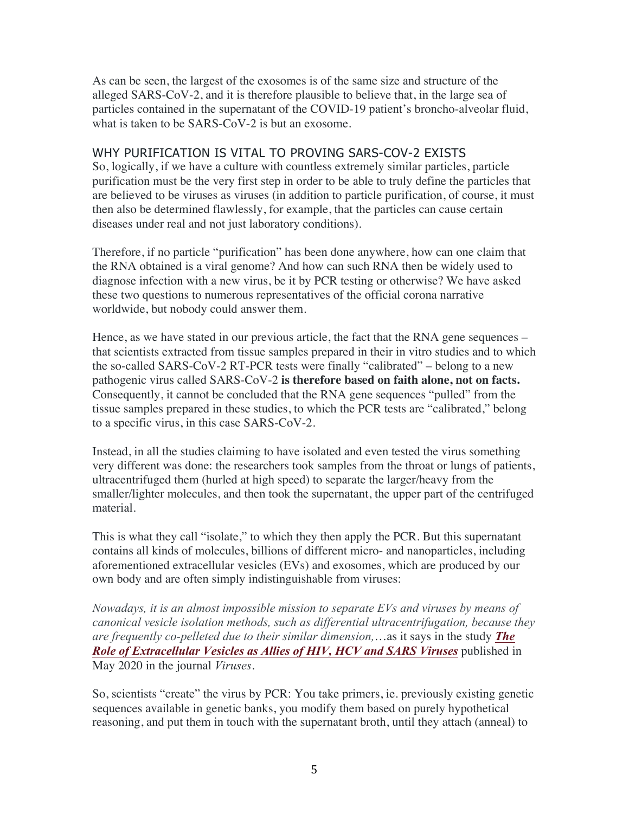As can be seen, the largest of the exosomes is of the same size and structure of the alleged SARS-CoV-2, and it is therefore plausible to believe that, in the large sea of particles contained in the supernatant of the COVID-19 patient's broncho-alveolar fluid, what is taken to be SARS-CoV-2 is but an exosome.

## WHY PURIFICATION IS VITAL TO PROVING SARS-COV-2 EXISTS

So, logically, if we have a culture with countless extremely similar particles, particle purification must be the very first step in order to be able to truly define the particles that are believed to be viruses as viruses (in addition to particle purification, of course, it must then also be determined flawlessly, for example, that the particles can cause certain diseases under real and not just laboratory conditions).

Therefore, if no particle "purification" has been done anywhere, how can one claim that the RNA obtained is a viral genome? And how can such RNA then be widely used to diagnose infection with a new virus, be it by PCR testing or otherwise? We have asked these two questions to numerous representatives of the official corona narrative worldwide, but nobody could answer them.

Hence, as we have stated in our previous article, the fact that the RNA gene sequences – that scientists extracted from tissue samples prepared in their in vitro studies and to which the so-called SARS-CoV-2 RT-PCR tests were finally "calibrated" – belong to a new pathogenic virus called SARS-CoV-2 **is therefore based on faith alone, not on facts.** Consequently, it cannot be concluded that the RNA gene sequences "pulled" from the tissue samples prepared in these studies, to which the PCR tests are "calibrated," belong to a specific virus, in this case SARS-CoV-2.

Instead, in all the studies claiming to have isolated and even tested the virus something very different was done: the researchers took samples from the throat or lungs of patients, ultracentrifuged them (hurled at high speed) to separate the larger/heavy from the smaller/lighter molecules, and then took the supernatant, the upper part of the centrifuged material.

This is what they call "isolate," to which they then apply the PCR. But this supernatant contains all kinds of molecules, billions of different micro- and nanoparticles, including aforementioned extracellular vesicles (EVs) and exosomes, which are produced by our own body and are often simply indistinguishable from viruses:

*Nowadays, it is an almost impossible mission to separate EVs and viruses by means of canonical vesicle isolation methods, such as differential ultracentrifugation, because they are frequently co-pelleted due to their similar dimension,*…as it says in the study *The Role of Extracellular Vesicles as Allies of HIV, HCV and SARS Viruses* published in May 2020 in the journal *Viruses*.

So, scientists "create" the virus by PCR: You take primers, ie. previously existing genetic sequences available in genetic banks, you modify them based on purely hypothetical reasoning, and put them in touch with the supernatant broth, until they attach (anneal) to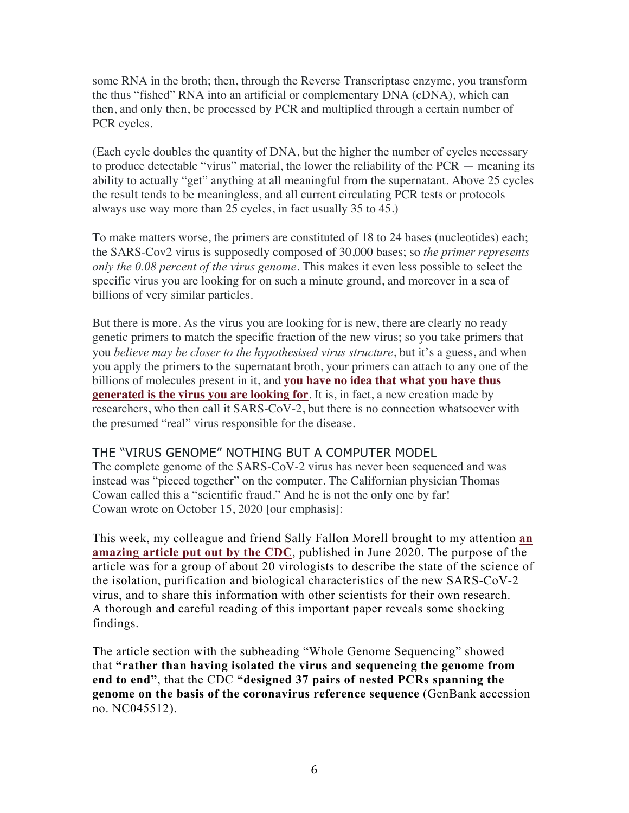some RNA in the broth; then, through the Reverse Transcriptase enzyme, you transform the thus "fished" RNA into an artificial or complementary DNA (cDNA), which can then, and only then, be processed by PCR and multiplied through a certain number of PCR cycles.

(Each cycle doubles the quantity of DNA, but the higher the number of cycles necessary to produce detectable "virus" material, the lower the reliability of the PCR — meaning its ability to actually "get" anything at all meaningful from the supernatant. Above 25 cycles the result tends to be meaningless, and all current circulating PCR tests or protocols always use way more than 25 cycles, in fact usually 35 to 45.)

To make matters worse, the primers are constituted of 18 to 24 bases (nucleotides) each; the SARS-Cov2 virus is supposedly composed of 30,000 bases; so *the primer represents only the 0.08 percent of the virus genome*. This makes it even less possible to select the specific virus you are looking for on such a minute ground, and moreover in a sea of billions of very similar particles.

But there is more. As the virus you are looking for is new, there are clearly no ready genetic primers to match the specific fraction of the new virus; so you take primers that you *believe may be closer to the hypothesised virus structure*, but it's a guess, and when you apply the primers to the supernatant broth, your primers can attach to any one of the billions of molecules present in it, and **you have no idea that what you have thus generated is the virus you are looking for**. It is, in fact, a new creation made by researchers, who then call it SARS-CoV-2, but there is no connection whatsoever with the presumed "real" virus responsible for the disease.

#### THE "VIRUS GENOME" NOTHING BUT A COMPUTER MODEL

The complete genome of the SARS-CoV-2 virus has never been sequenced and was instead was "pieced together" on the computer. The Californian physician Thomas Cowan called this a "scientific fraud." And he is not the only one by far! Cowan wrote on October 15, 2020 [our emphasis]:

This week, my colleague and friend Sally Fallon Morell brought to my attention **an amazing article put out by the CDC**, published in June 2020. The purpose of the article was for a group of about 20 virologists to describe the state of the science of the isolation, purification and biological characteristics of the new SARS-CoV-2 virus, and to share this information with other scientists for their own research. A thorough and careful reading of this important paper reveals some shocking findings.

The article section with the subheading "Whole Genome Sequencing" showed that **"rather than having isolated the virus and sequencing the genome from end to end"**, that the CDC **"designed 37 pairs of nested PCRs spanning the genome on the basis of the coronavirus reference sequence** (GenBank accession no. NC045512).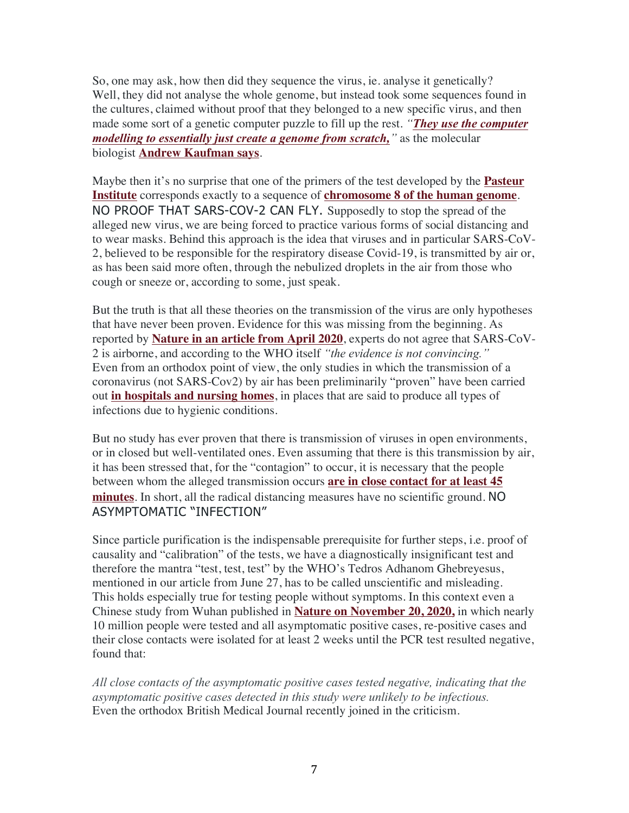So, one may ask, how then did they sequence the virus, ie. analyse it genetically? Well, they did not analyse the whole genome, but instead took some sequences found in the cultures, claimed without proof that they belonged to a new specific virus, and then made some sort of a genetic computer puzzle to fill up the rest. *"They use the computer modelling to essentially just create a genome from scratch,"* as the molecular biologist **Andrew Kaufman says**.

Maybe then it's no surprise that one of the primers of the test developed by the **Pasteur Institute** corresponds exactly to a sequence of **chromosome 8 of the human genome**. NO PROOF THAT SARS-COV-2 CAN FLY. Supposedly to stop the spread of the alleged new virus, we are being forced to practice various forms of social distancing and to wear masks. Behind this approach is the idea that viruses and in particular SARS-CoV-2, believed to be responsible for the respiratory disease Covid-19, is transmitted by air or, as has been said more often, through the nebulized droplets in the air from those who cough or sneeze or, according to some, just speak.

But the truth is that all these theories on the transmission of the virus are only hypotheses that have never been proven. Evidence for this was missing from the beginning. As reported by **Nature in an article from April 2020**, experts do not agree that SARS-CoV-2 is airborne, and according to the WHO itself *"the evidence is not convincing."* Even from an orthodox point of view, the only studies in which the transmission of a coronavirus (not SARS-Cov2) by air has been preliminarily "proven" have been carried out **in hospitals and nursing homes**, in places that are said to produce all types of infections due to hygienic conditions.

But no study has ever proven that there is transmission of viruses in open environments, or in closed but well-ventilated ones. Even assuming that there is this transmission by air, it has been stressed that, for the "contagion" to occur, it is necessary that the people between whom the alleged transmission occurs **are in close contact for at least 45 minutes**. In short, all the radical distancing measures have no scientific ground. NO ASYMPTOMATIC "INFECTION"

Since particle purification is the indispensable prerequisite for further steps, i.e. proof of causality and "calibration" of the tests, we have a diagnostically insignificant test and therefore the mantra "test, test, test" by the WHO's Tedros Adhanom Ghebreyesus, mentioned in our article from June 27, has to be called unscientific and misleading. This holds especially true for testing people without symptoms. In this context even a Chinese study from Wuhan published in **Nature on November 20, 2020,** in which nearly 10 million people were tested and all asymptomatic positive cases, re-positive cases and their close contacts were isolated for at least 2 weeks until the PCR test resulted negative, found that:

*All close contacts of the asymptomatic positive cases tested negative, indicating that the asymptomatic positive cases detected in this study were unlikely to be infectious.* Even the orthodox British Medical Journal recently joined in the criticism.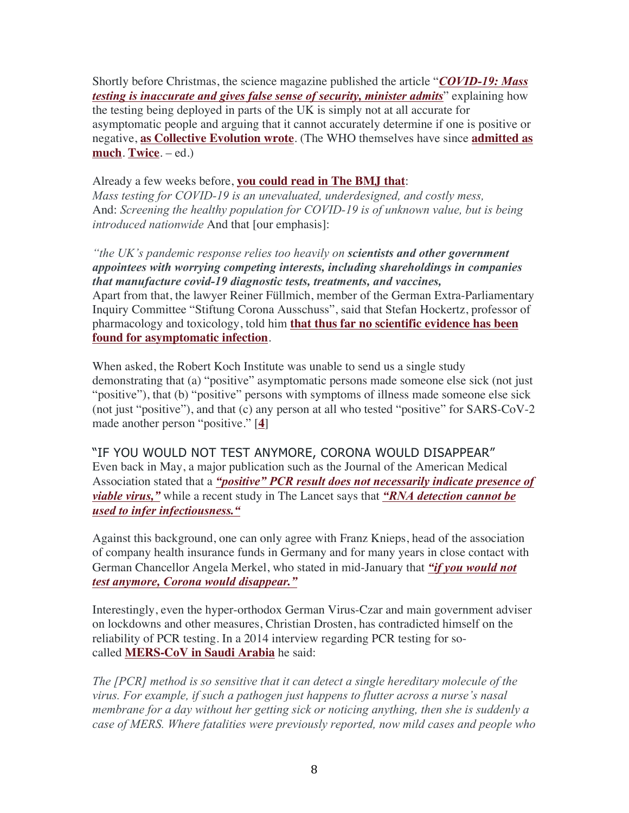Shortly before Christmas, the science magazine published the article "*COVID-19: Mass testing is inaccurate and gives false sense of security, minister admits*" explaining how the testing being deployed in parts of the UK is simply not at all accurate for asymptomatic people and arguing that it cannot accurately determine if one is positive or negative, **as Collective Evolution wrote**. (The WHO themselves have since **admitted as much**. **Twice**. – ed.)

Already a few weeks before, **you could read in The BMJ that**:

*Mass testing for COVID-19 is an unevaluated, underdesigned, and costly mess,* And: *Screening the healthy population for COVID-19 is of unknown value, but is being introduced nationwide* And that [our emphasis]:

*"the UK's pandemic response relies too heavily on scientists and other government appointees with worrying competing interests, including shareholdings in companies that manufacture covid-19 diagnostic tests, treatments, and vaccines,* Apart from that, the lawyer Reiner Füllmich, member of the German Extra-Parliamentary Inquiry Committee "Stiftung Corona Ausschuss", said that Stefan Hockertz, professor of pharmacology and toxicology, told him **that thus far no scientific evidence has been found for asymptomatic infection**.

When asked, the Robert Koch Institute was unable to send us a single study demonstrating that (a) "positive" asymptomatic persons made someone else sick (not just "positive"), that (b) "positive" persons with symptoms of illness made someone else sick (not just "positive"), and that (c) any person at all who tested "positive" for SARS-CoV-2 made another person "positive." [**4**]

"IF YOU WOULD NOT TEST ANYMORE, CORONA WOULD DISAPPEAR" Even back in May, a major publication such as the Journal of the American Medical Association stated that a *"positive" PCR result does not necessarily indicate presence of viable virus,"* while a recent study in The Lancet says that *"RNA detection cannot be used to infer infectiousness."*

Against this background, one can only agree with Franz Knieps, head of the association of company health insurance funds in Germany and for many years in close contact with German Chancellor Angela Merkel, who stated in mid-January that *"if you would not test anymore, Corona would disappear."*

Interestingly, even the hyper-orthodox German Virus-Czar and main government adviser on lockdowns and other measures, Christian Drosten, has contradicted himself on the reliability of PCR testing. In a 2014 interview regarding PCR testing for socalled **MERS-CoV in Saudi Arabia** he said:

*The [PCR] method is so sensitive that it can detect a single hereditary molecule of the virus. For example, if such a pathogen just happens to flutter across a nurse's nasal membrane for a day without her getting sick or noticing anything, then she is suddenly a case of MERS. Where fatalities were previously reported, now mild cases and people who*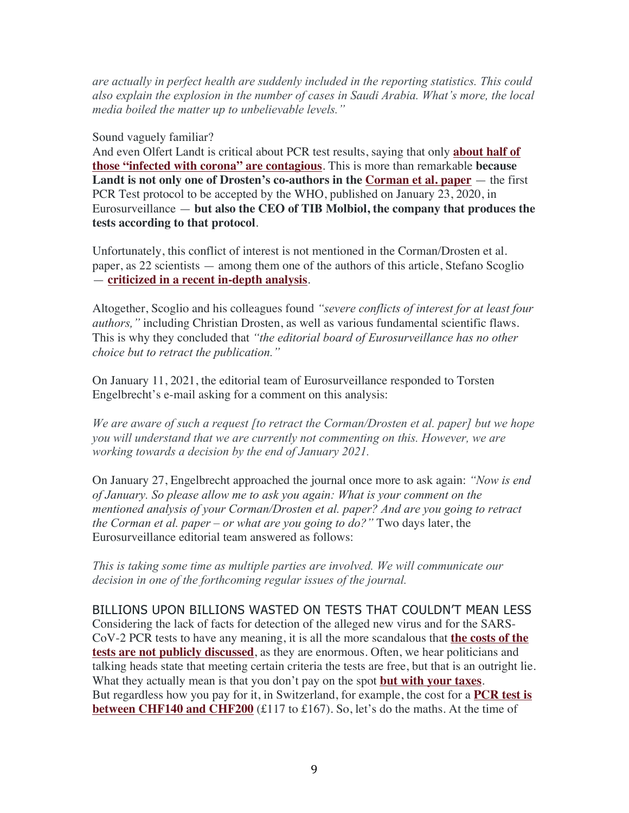*are actually in perfect health are suddenly included in the reporting statistics. This could also explain the explosion in the number of cases in Saudi Arabia. What's more, the local media boiled the matter up to unbelievable levels."*

#### Sound vaguely familiar?

And even Olfert Landt is critical about PCR test results, saying that only **about half of those "infected with corona" are contagious**. This is more than remarkable **because Landt is not only one of Drosten's co-authors in the Corman et al. paper** — the first PCR Test protocol to be accepted by the WHO, published on January 23, 2020, in Eurosurveillance — **but also the CEO of TIB Molbiol, the company that produces the tests according to that protocol**.

Unfortunately, this conflict of interest is not mentioned in the Corman/Drosten et al. paper, as 22 scientists — among them one of the authors of this article, Stefano Scoglio — **criticized in a recent in-depth analysis**.

Altogether, Scoglio and his colleagues found *"severe conflicts of interest for at least four authors,"* including Christian Drosten, as well as various fundamental scientific flaws. This is why they concluded that *"the editorial board of Eurosurveillance has no other choice but to retract the publication."*

On January 11, 2021, the editorial team of Eurosurveillance responded to Torsten Engelbrecht's e-mail asking for a comment on this analysis:

*We are aware of such a request [to retract the Corman/Drosten et al. paper] but we hope you will understand that we are currently not commenting on this. However, we are working towards a decision by the end of January 2021.*

On January 27, Engelbrecht approached the journal once more to ask again: *"Now is end of January. So please allow me to ask you again: What is your comment on the mentioned analysis of your Corman/Drosten et al. paper? And are you going to retract the Corman et al. paper – or what are you going to do?"* Two days later, the Eurosurveillance editorial team answered as follows:

*This is taking some time as multiple parties are involved. We will communicate our decision in one of the forthcoming regular issues of the journal.*

BILLIONS UPON BILLIONS WASTED ON TESTS THAT COULDN'T MEAN LESS Considering the lack of facts for detection of the alleged new virus and for the SARS-CoV-2 PCR tests to have any meaning, it is all the more scandalous that **the costs of the tests are not publicly discussed**, as they are enormous. Often, we hear politicians and talking heads state that meeting certain criteria the tests are free, but that is an outright lie. What they actually mean is that you don't pay on the spot **but with your taxes**. But regardless how you pay for it, in Switzerland, for example, the cost for a **PCR test is between CHF140 and CHF200** (£117 to £167). So, let's do the maths. At the time of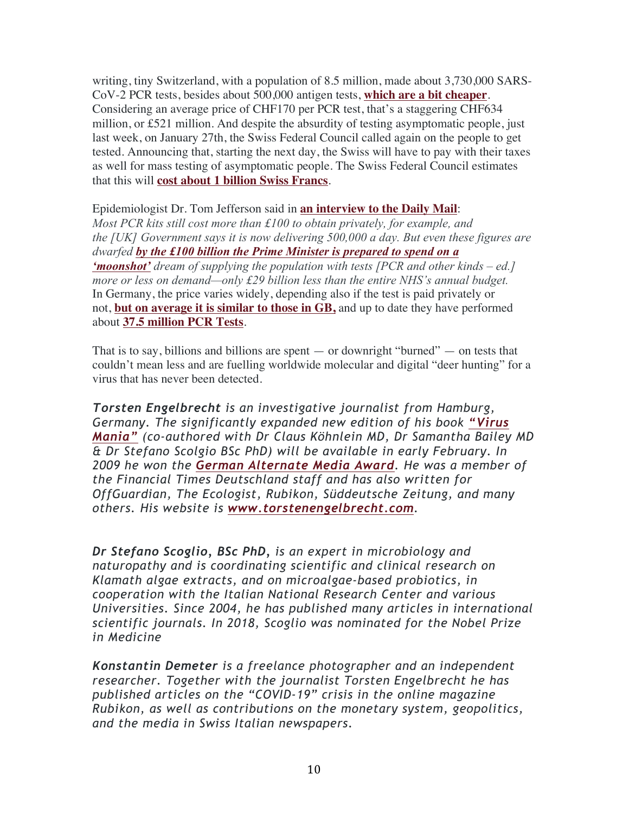writing, tiny Switzerland, with a population of 8.5 million, made about 3,730,000 SARS-CoV-2 PCR tests, besides about 500,000 antigen tests, **which are a bit cheaper**. Considering an average price of CHF170 per PCR test, that's a staggering CHF634 million, or £521 million. And despite the absurdity of testing asymptomatic people, just last week, on January 27th, the Swiss Federal Council called again on the people to get tested. Announcing that, starting the next day, the Swiss will have to pay with their taxes as well for mass testing of asymptomatic people. The Swiss Federal Council estimates that this will **cost about 1 billion Swiss Francs**.

Epidemiologist Dr. Tom Jefferson said in **an interview to the Daily Mail**: *Most PCR kits still cost more than £100 to obtain privately, for example, and the [UK] Government says it is now delivering 500,000 a day. But even these figures are dwarfed by the £100 billion the Prime Minister is prepared to spend on a 'moonshot' dream of supplying the population with tests [PCR and other kinds – ed.] more or less on demand—only £29 billion less than the entire NHS's annual budget.* In Germany, the price varies widely, depending also if the test is paid privately or not, **but on average it is similar to those in GB,** and up to date they have performed about **37.5 million PCR Tests**.

That is to say, billions and billions are spent  $-$  or downright "burned"  $-$  on tests that couldn't mean less and are fuelling worldwide molecular and digital "deer hunting" for a virus that has never been detected.

*Torsten Engelbrecht is an investigative journalist from Hamburg, Germany. The significantly expanded new edition of his book "Virus Mania" (co-authored with Dr Claus Köhnlein MD, Dr Samantha Bailey MD & Dr Stefano Scolgio BSc PhD) will be available in early February. In 2009 he won the German Alternate Media Award. He was a member of the Financial Times Deutschland staff and has also written for OffGuardian, The Ecologist, Rubikon, Süddeutsche Zeitung, and many others. His website is www.torstenengelbrecht.com.*

*Dr Stefano Scoglio, BSc PhD, is an expert in microbiology and naturopathy and is coordinating scientific and clinical research on Klamath algae extracts, and on microalgae-based probiotics, in cooperation with the Italian National Research Center and various Universities. Since 2004, he has published many articles in international scientific journals. In 2018, Scoglio was nominated for the Nobel Prize in Medicine*

*Konstantin Demeter is a freelance photographer and an independent researcher. Together with the journalist Torsten Engelbrecht he has published articles on the "COVID-19" crisis in the online magazine Rubikon, as well as contributions on the monetary system, geopolitics, and the media in Swiss Italian newspapers.*